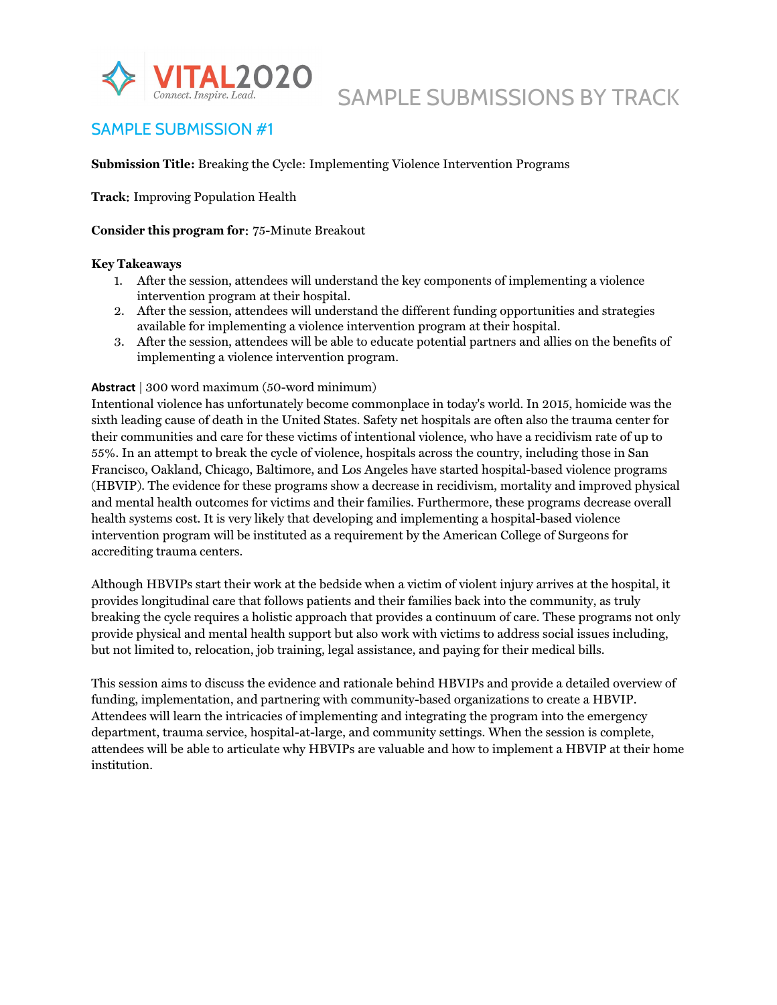

# SAMPLE SUBMISSION #1

**Submission Title:** Breaking the Cycle: Implementing Violence Intervention Programs

**Track**: Improving Population Health

**Consider this program for**: 75-Minute Breakout

### **Key Takeaways**

- 1. After the session, attendees will understand the key components of implementing a violence intervention program at their hospital.
- 2. After the session, attendees will understand the different funding opportunities and strategies available for implementing a violence intervention program at their hospital.
- 3. After the session, attendees will be able to educate potential partners and allies on the benefits of implementing a violence intervention program.

### **Abstract** | 300 word maximum (50-word minimum)

Intentional violence has unfortunately become commonplace in today's world. In 2015, homicide was the sixth leading cause of death in the United States. Safety net hospitals are often also the trauma center for their communities and care for these victims of intentional violence, who have a recidivism rate of up to 55%. In an attempt to break the cycle of violence, hospitals across the country, including those in San Francisco, Oakland, Chicago, Baltimore, and Los Angeles have started hospital-based violence programs (HBVIP). The evidence for these programs show a decrease in recidivism, mortality and improved physical and mental health outcomes for victims and their families. Furthermore, these programs decrease overall health systems cost. It is very likely that developing and implementing a hospital-based violence intervention program will be instituted as a requirement by the American College of Surgeons for accrediting trauma centers.

Although HBVIPs start their work at the bedside when a victim of violent injury arrives at the hospital, it provides longitudinal care that follows patients and their families back into the community, as truly breaking the cycle requires a holistic approach that provides a continuum of care. These programs not only provide physical and mental health support but also work with victims to address social issues including, but not limited to, relocation, job training, legal assistance, and paying for their medical bills.

This session aims to discuss the evidence and rationale behind HBVIPs and provide a detailed overview of funding, implementation, and partnering with community-based organizations to create a HBVIP. Attendees will learn the intricacies of implementing and integrating the program into the emergency department, trauma service, hospital-at-large, and community settings. When the session is complete, attendees will be able to articulate why HBVIPs are valuable and how to implement a HBVIP at their home institution.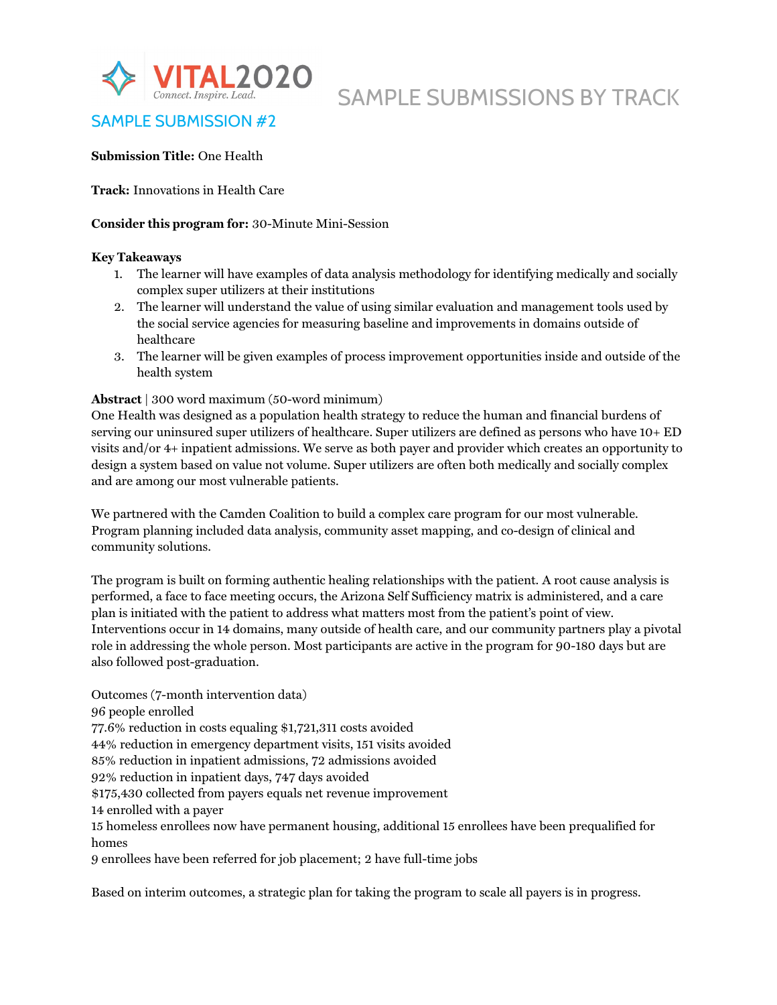

# SAMPLE SUBMISSIONS BY TRACK

## SAMPLE SUBMISSION #2

### **Submission Title:** One Health

**Track:** Innovations in Health Care

### **Consider this program for:** 30-Minute Mini-Session

### **Key Takeaways**

- 1. The learner will have examples of data analysis methodology for identifying medically and socially complex super utilizers at their institutions
- 2. The learner will understand the value of using similar evaluation and management tools used by the social service agencies for measuring baseline and improvements in domains outside of healthcare
- 3. The learner will be given examples of process improvement opportunities inside and outside of the health system

### **Abstract** | 300 word maximum (50-word minimum)

One Health was designed as a population health strategy to reduce the human and financial burdens of serving our uninsured super utilizers of healthcare. Super utilizers are defined as persons who have 10+ ED visits and/or 4+ inpatient admissions. We serve as both payer and provider which creates an opportunity to design a system based on value not volume. Super utilizers are often both medically and socially complex and are among our most vulnerable patients.

We partnered with the Camden Coalition to build a complex care program for our most vulnerable. Program planning included data analysis, community asset mapping, and co-design of clinical and community solutions.

The program is built on forming authentic healing relationships with the patient. A root cause analysis is performed, a face to face meeting occurs, the Arizona Self Sufficiency matrix is administered, and a care plan is initiated with the patient to address what matters most from the patient's point of view. Interventions occur in 14 domains, many outside of health care, and our community partners play a pivotal role in addressing the whole person. Most participants are active in the program for 90-180 days but are also followed post-graduation.

Outcomes (7-month intervention data) 96 people enrolled 77.6% reduction in costs equaling \$1,721,311 costs avoided 44% reduction in emergency department visits, 151 visits avoided 85% reduction in inpatient admissions, 72 admissions avoided 92% reduction in inpatient days, 747 days avoided \$175,430 collected from payers equals net revenue improvement 14 enrolled with a payer 15 homeless enrollees now have permanent housing, additional 15 enrollees have been prequalified for homes 9 enrollees have been referred for job placement; 2 have full-time jobs

Based on interim outcomes, a strategic plan for taking the program to scale all payers is in progress.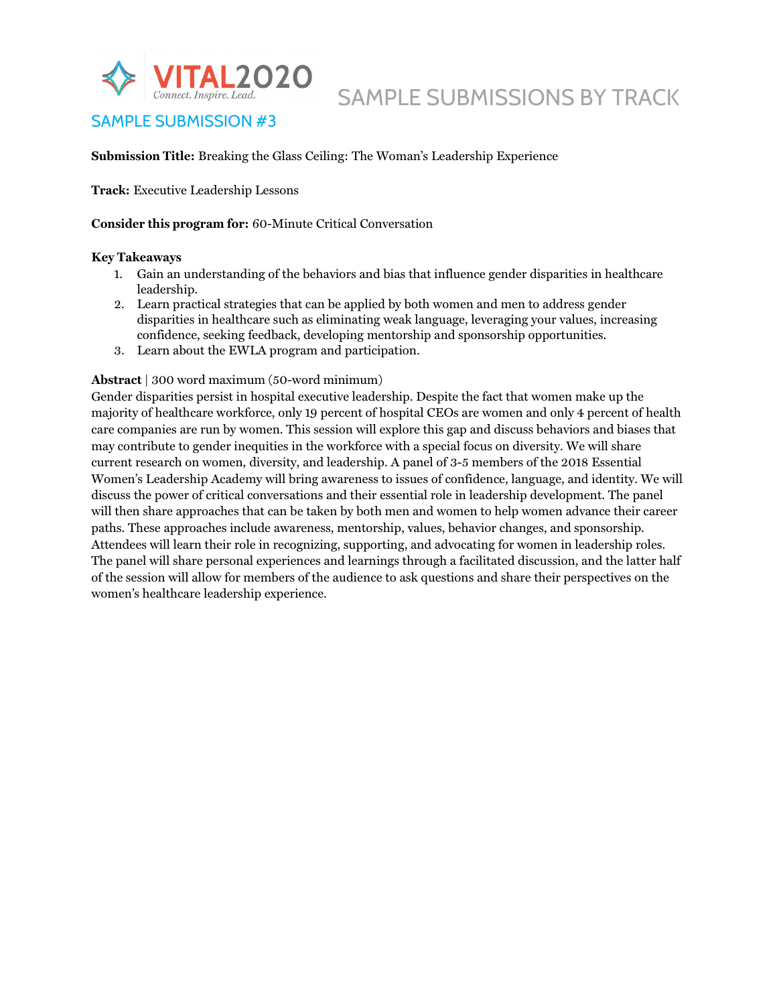

# SAMPLE SUBMISSION #3

### **Submission Title:** Breaking the Glass Ceiling: The Woman's Leadership Experience

**Track:** Executive Leadership Lessons

### **Consider this program for:** 60-Minute Critical Conversation

### **Key Takeaways**

- 1. Gain an understanding of the behaviors and bias that influence gender disparities in healthcare leadership.
- 2. Learn practical strategies that can be applied by both women and men to address gender disparities in healthcare such as eliminating weak language, leveraging your values, increasing confidence, seeking feedback, developing mentorship and sponsorship opportunities.
- 3. Learn about the EWLA program and participation.

### **Abstract** | 300 word maximum (50-word minimum)

Gender disparities persist in hospital executive leadership. Despite the fact that women make up the majority of healthcare workforce, only 19 percent of hospital CEOs are women and only 4 percent of health care companies are run by women. This session will explore this gap and discuss behaviors and biases that may contribute to gender inequities in the workforce with a special focus on diversity. We will share current research on women, diversity, and leadership. A panel of 3-5 members of the 2018 Essential Women's Leadership Academy will bring awareness to issues of confidence, language, and identity. We will discuss the power of critical conversations and their essential role in leadership development. The panel will then share approaches that can be taken by both men and women to help women advance their career paths. These approaches include awareness, mentorship, values, behavior changes, and sponsorship. Attendees will learn their role in recognizing, supporting, and advocating for women in leadership roles. The panel will share personal experiences and learnings through a facilitated discussion, and the latter half of the session will allow for members of the audience to ask questions and share their perspectives on the women's healthcare leadership experience.